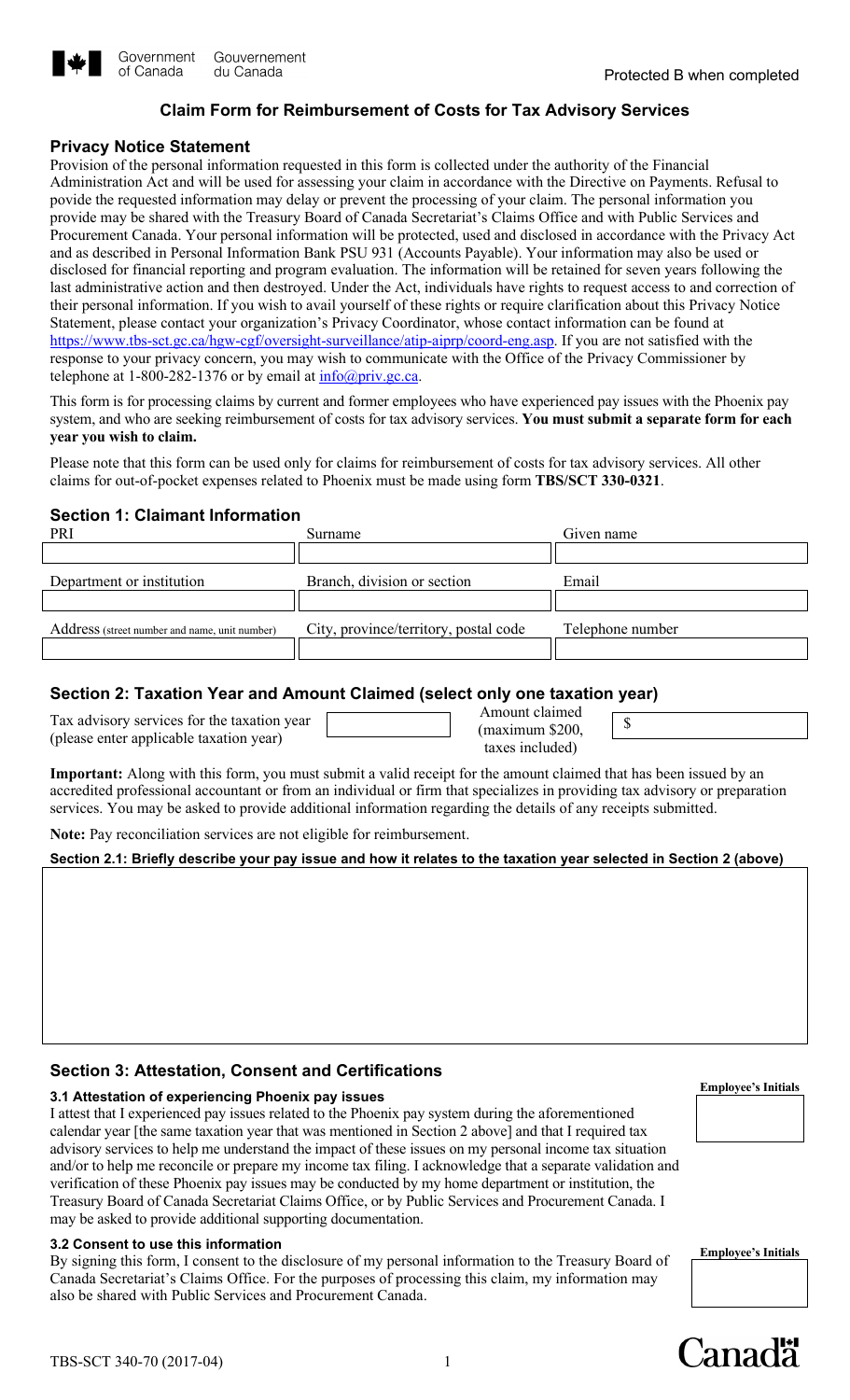

# **Claim Form for Reimbursement of Costs for Tax Advisory Services**

### **Privacy Notice Statement**

 Provision of the personal information requested in this form is collected under the authority of the Financial Administration Act and will be used for assessing your claim in accordance with the Directive on Payments. Refusal to disclosed for financial reporting and program evaluation. The information will be retained for seven years following the their personal information. If you wish to avail yourself of these rights or require clarification about this Privacy Notice povide the requested information may delay or prevent the processing of your claim. The personal information you provide may be shared with the Treasury Board of Canada Secretariat's Claims Office and with Public Services and Procurement Canada. Your personal information will be protected, used and disclosed in accordance with the Privacy Act and as described in Personal Information Bank PSU 931 (Accounts Payable). Your information may also be used or last administrative action and then destroyed. Under the Act, individuals have rights to request access to and correction of Statement, please contact your organization's Privacy Coordinator, whose contact information can be found at [https://www.tbs-sct.gc.ca/hgw-cgf/oversight-surveillance/atip-aiprp/coord-eng.asp.](https://www.tbs-sct.gc.ca/hgw-cgf/oversight-surveillance/atip-aiprp/coord-eng.asp) If you are not satisfied with the response to your privacy concern, you may wish to communicate with the Office of the Privacy Commissioner by telephone at 1-800-282-1376 or by email at  $\frac{info(\omega)priv.gc.ca.}{$ 

This form is for processing claims by current and former employees who have experienced pay issues with the Phoenix pay system, and who are seeking reimbursement of costs for tax advisory services. **You must submit a separate form for each year you wish to claim.** 

 Please note that this form can be used only for claims for reimbursement of costs for tax advisory services. All other claims for out-of-pocket expenses related to Phoenix must be made using form **TBS/SCT 330-0321**.

# **Section 1: Claimant Information**

| PRI                                           | Surname                               | Given name       |
|-----------------------------------------------|---------------------------------------|------------------|
|                                               |                                       |                  |
| Department or institution                     | Branch, division or section           | Email            |
|                                               |                                       |                  |
| Address (street number and name, unit number) | City, province/territory, postal code | Telephone number |
|                                               |                                       |                  |

# **Section 2: Taxation Year and Amount Claimed (select only one taxation year)**

|                                             | Amount claimed     |  |
|---------------------------------------------|--------------------|--|
| Tax advisory services for the taxation year | $($ maximum \$200, |  |
| (please enter applicable taxation year)     | taxes included)    |  |

 **Important:** Along with this form, you must submit a valid receipt for the amount claimed that has been issued by an accredited professional accountant or from an individual or firm that specializes in providing tax advisory or preparation services. You may be asked to provide additional information regarding the details of any receipts submitted.

**Note:** Pay reconciliation services are not eligible for reimbursement.

### **Section 2.1: Briefly describe your pay issue and how it relates to the taxation year selected in Section 2 (above)**

# **Section 3: Attestation, Consent and Certifications**

# **Employee's Initials 3.1 Attestation of experiencing Phoenix pay issues**

 calendar year [the same taxation year that was mentioned in Section 2 above] and that I required tax and/or to help me reconcile or prepare my income tax filing. I acknowledge that a separate validation and I attest that I experienced pay issues related to the Phoenix pay system during the aforementioned advisory services to help me understand the impact of these issues on my personal income tax situation verification of these Phoenix pay issues may be conducted by my home department or institution, the Treasury Board of Canada Secretariat Claims Office, or by Public Services and Procurement Canada. I may be asked to provide additional supporting documentation.

**3.2 Consent to use this information**<br>By signing this form, I consent to the disclosure of my personal information to the Treasury Board of **Employee's Initials** Canada Secretariat's Claims Office. For the purposes of processing this claim, my information may also be shared with Public Services and Procurement Canada.



1